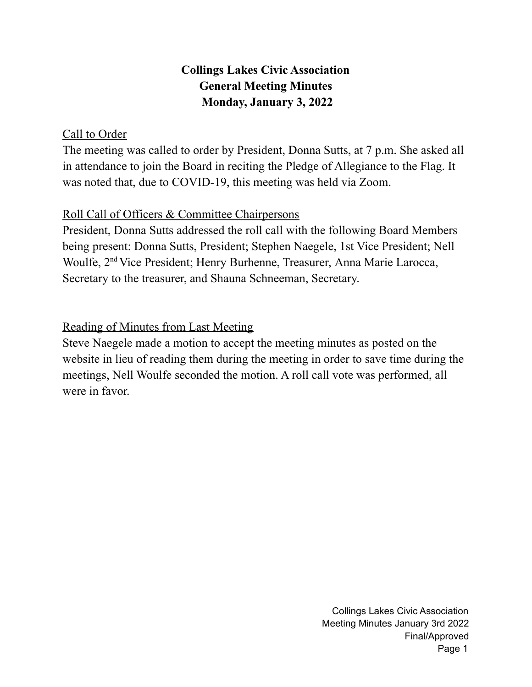## **Collings Lakes Civic Association General Meeting Minutes Monday, January 3, 2022**

## Call to Order

The meeting was called to order by President, Donna Sutts, at 7 p.m. She asked all in attendance to join the Board in reciting the Pledge of Allegiance to the Flag. It was noted that, due to COVID-19, this meeting was held via Zoom.

## Roll Call of Officers & Committee Chairpersons

President, Donna Sutts addressed the roll call with the following Board Members being present: Donna Sutts, President; Stephen Naegele, 1st Vice President; Nell Woulfe, 2<sup>nd</sup> Vice President; Henry Burhenne, Treasurer, Anna Marie Larocca, Secretary to the treasurer, and Shauna Schneeman, Secretary.

## Reading of Minutes from Last Meeting

Steve Naegele made a motion to accept the meeting minutes as posted on the website in lieu of reading them during the meeting in order to save time during the meetings, Nell Woulfe seconded the motion. A roll call vote was performed, all were in favor.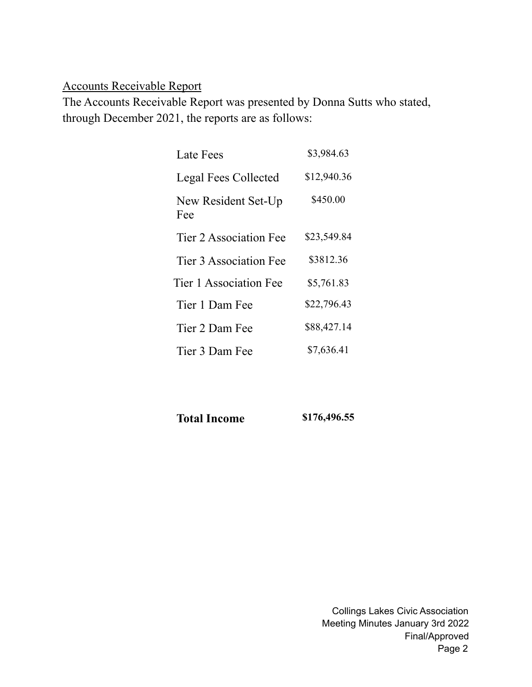## Accounts Receivable Report

The Accounts Receivable Report was presented by Donna Sutts who stated, through December 2021, the reports are as follows:

| Late Fees                  | \$3,984.63  |
|----------------------------|-------------|
| Legal Fees Collected       | \$12,940.36 |
| New Resident Set-Up<br>Fee | \$450.00    |
| Tier 2 Association Fee     | \$23,549.84 |
| Tier 3 Association Fee     | \$3812.36   |
| Tier 1 Association Fee     | \$5,761.83  |
| Tier 1 Dam Fee             | \$22,796.43 |
| Tier 2 Dam Fee             | \$88,427.14 |
| Tier 3 Dam Fee             | \$7,636.41  |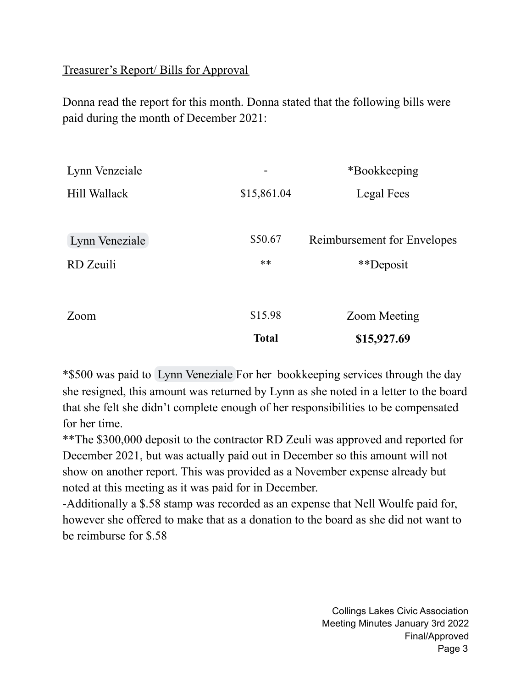## Treasurer's Report/ Bills for Approval

Donna read the report for this month. Donna stated that the following bills were paid during the month of December 2021:

| Lynn Venzeiale |              | *Bookkeeping                |  |
|----------------|--------------|-----------------------------|--|
| Hill Wallack   | \$15,861.04  | Legal Fees                  |  |
|                |              |                             |  |
| Lynn Veneziale | \$50.67      | Reimbursement for Envelopes |  |
| RD Zeuili      | $***$        | **Deposit                   |  |
|                |              |                             |  |
| Zoom           | \$15.98      | Zoom Meeting                |  |
|                | <b>Total</b> | \$15,927.69                 |  |

\*\$500 was paid to Lynn [Veneziale](mailto:lynnv@collingslakes.org) For her bookkeeping services through the day she resigned, this amount was returned by Lynn as she noted in a letter to the board that she felt she didn't complete enough of her responsibilities to be compensated for her time.

\*\*The \$300,000 deposit to the contractor RD Zeuli was approved and reported for December 2021, but was actually paid out in December so this amount will not show on another report. This was provided as a November expense already but noted at this meeting as it was paid for in December.

-Additionally a \$.58 stamp was recorded as an expense that Nell Woulfe paid for, however she offered to make that as a donation to the board as she did not want to be reimburse for \$.58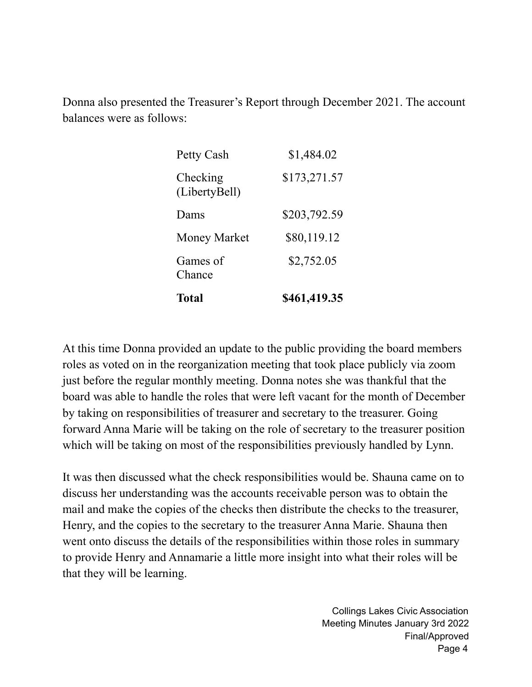Donna also presented the Treasurer's Report through December 2021. The account balances were as follows:

| Total                     | \$461,419.35 |
|---------------------------|--------------|
| Games of<br>Chance        | \$2,752.05   |
| Money Market              | \$80,119.12  |
| Dams                      | \$203,792.59 |
| Checking<br>(LibertyBell) | \$173,271.57 |
| Petty Cash                | \$1,484.02   |

At this time Donna provided an update to the public providing the board members roles as voted on in the reorganization meeting that took place publicly via zoom just before the regular monthly meeting. Donna notes she was thankful that the board was able to handle the roles that were left vacant for the month of December by taking on responsibilities of treasurer and secretary to the treasurer. Going forward Anna Marie will be taking on the role of secretary to the treasurer position which will be taking on most of the responsibilities previously handled by Lynn.

It was then discussed what the check responsibilities would be. Shauna came on to discuss her understanding was the accounts receivable person was to obtain the mail and make the copies of the checks then distribute the checks to the treasurer, Henry, and the copies to the secretary to the treasurer Anna Marie. Shauna then went onto discuss the details of the responsibilities within those roles in summary to provide Henry and Annamarie a little more insight into what their roles will be that they will be learning.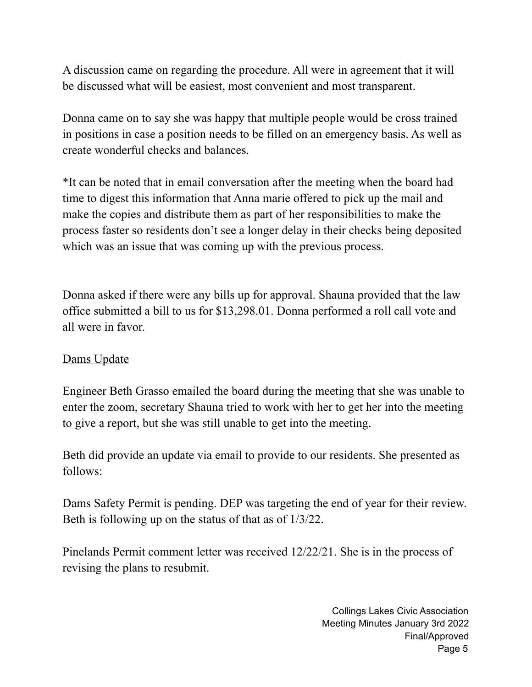A discussion came on regarding the procedure. All were in agreement that it will be discussed what will be easiest, most convenient and most transparent.

Donna came on to say she was happy that multiple people would be cross trained in positions in case a position needs to be filled on an emergency basis. As well as create wonderful checks and balances.

\*It can be noted that in email conversation after the meeting when the board had time to digest this information that Anna marie offered to pick up the mail and make the copies and distribute them as part of her responsibilities to make the process faster so residents don't see a longer delay in their checks being deposited which was an issue that was coming up with the previous process.

Donna asked if there were any bills up for approval. Shauna provided that the law office submitted a bill to us for \$13,298.01. Donna performed a roll call vote and all were in favor.

### Dams Update

Engineer Beth Grasso emailed the board during the meeting that she was unable to enter the zoom, secretary Shauna tried to work with her to get her into the meeting to give a report, but she was still unable to get into the meeting.

Beth did provide an update via email to provide to our residents. She presented as follows:

Dams Safety Permit is pending. DEP was targeting the end of year for their review. Beth is following up on the status of that as of 1/3/22.

Pinelands Permit comment letter was received 12/22/21. She is in the process of revising the plans to resubmit.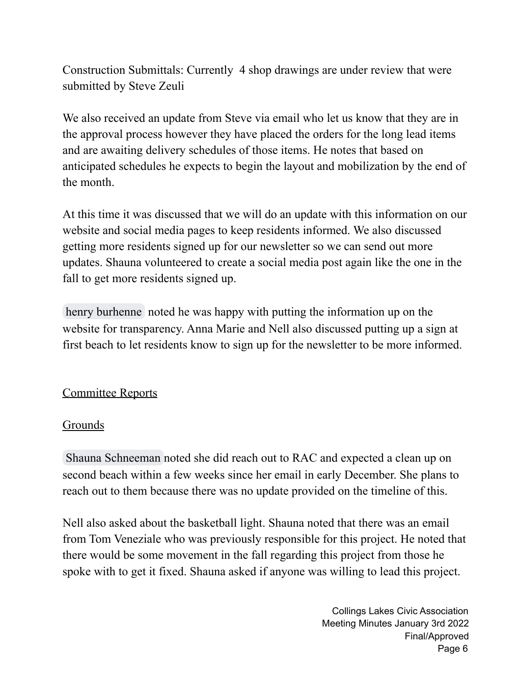Construction Submittals: Currently 4 shop drawings are under review that were submitted by Steve Zeuli

We also received an update from Steve via email who let us know that they are in the approval process however they have placed the orders for the long lead items and are awaiting delivery schedules of those items. He notes that based on anticipated schedules he expects to begin the layout and mobilization by the end of the month.

At this time it was discussed that we will do an update with this information on our website and social media pages to keep residents informed. We also discussed getting more residents signed up for our newsletter so we can send out more updates. Shauna volunteered to create a social media post again like the one in the fall to get more residents signed up.

henry [burhenne](mailto:hburhenne@gmail.com) noted he was happy with putting the information up on the website for transparency. Anna Marie and Nell also discussed putting up a sign at first beach to let residents know to sign up for the newsletter to be more informed.

## Committee Reports

## Grounds

Shauna [Schneeman](mailto:shaunas@collingslakes.org) noted she did reach out to RAC and expected a clean up on second beach within a few weeks since her email in early December. She plans to reach out to them because there was no update provided on the timeline of this.

Nell also asked about the basketball light. Shauna noted that there was an email from Tom Veneziale who was previously responsible for this project. He noted that there would be some movement in the fall regarding this project from those he spoke with to get it fixed. Shauna asked if anyone was willing to lead this project.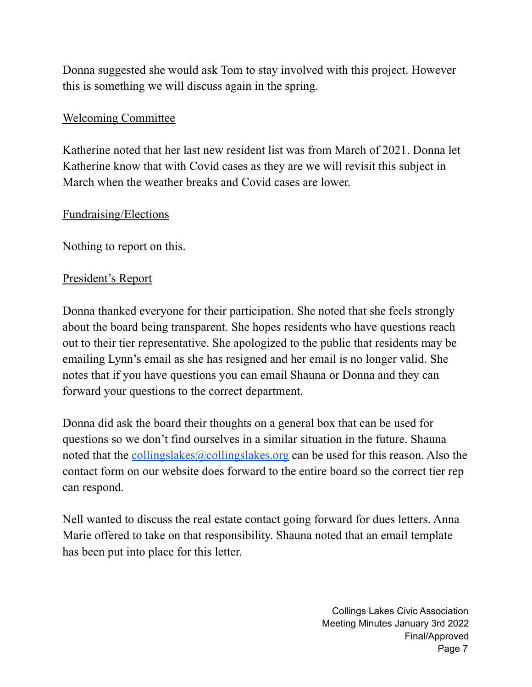Donna suggested she would ask Tom to stay involved with this project. However this is something we will discuss again in the spring.

#### Welcoming Committee

Katherine noted that her last new resident list was from March of 2021. Donna let Katherine know that with Covid cases as they are we will revisit this subject in March when the weather breaks and Covid cases are lower.

#### Fundraising/Elections

Nothing to report on this.

### President's Report

Donna thanked everyone for their participation. She noted that she feels strongly about the board being transparent. She hopes residents who have questions reach out to their tier representative. She apologized to the public that residents may be emailing Lynn's email as she has resigned and her email is no longer valid. She notes that if you have questions you can email Shauna or Donna and they can forward your questions to the correct department.

Donna did ask the board their thoughts on a general box that can be used for questions so we don't find ourselves in a similar situation in the future. Shauna noted that the [collingslakes@collingslakes.org](mailto:collingslakes@collingslakes.org) can be used for this reason. Also the contact form on our website does forward to the entire board so the correct tier rep can respond.

Nell wanted to discuss the real estate contact going forward for dues letters. Anna Marie offered to take on that responsibility. Shauna noted that an email template has been put into place for this letter.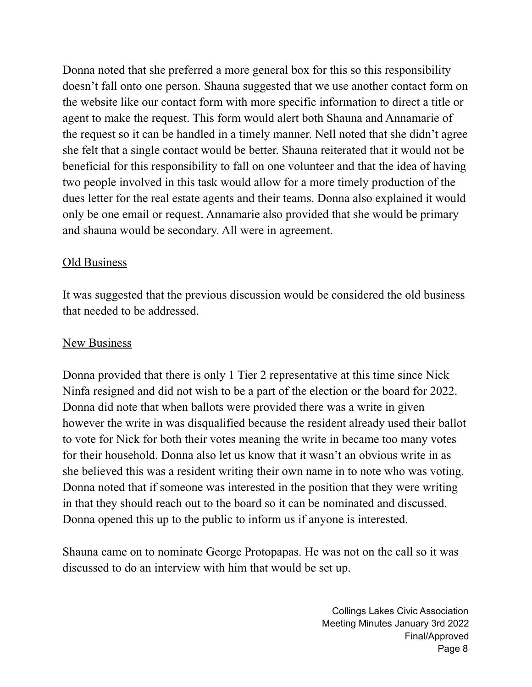Donna noted that she preferred a more general box for this so this responsibility doesn't fall onto one person. Shauna suggested that we use another contact form on the website like our contact form with more specific information to direct a title or agent to make the request. This form would alert both Shauna and Annamarie of the request so it can be handled in a timely manner. Nell noted that she didn't agree she felt that a single contact would be better. Shauna reiterated that it would not be beneficial for this responsibility to fall on one volunteer and that the idea of having two people involved in this task would allow for a more timely production of the dues letter for the real estate agents and their teams. Donna also explained it would only be one email or request. Annamarie also provided that she would be primary and shauna would be secondary. All were in agreement.

## Old Business

It was suggested that the previous discussion would be considered the old business that needed to be addressed.

## New Business

Donna provided that there is only 1 Tier 2 representative at this time since Nick Ninfa resigned and did not wish to be a part of the election or the board for 2022. Donna did note that when ballots were provided there was a write in given however the write in was disqualified because the resident already used their ballot to vote for Nick for both their votes meaning the write in became too many votes for their household. Donna also let us know that it wasn't an obvious write in as she believed this was a resident writing their own name in to note who was voting. Donna noted that if someone was interested in the position that they were writing in that they should reach out to the board so it can be nominated and discussed. Donna opened this up to the public to inform us if anyone is interested.

Shauna came on to nominate George Protopapas. He was not on the call so it was discussed to do an interview with him that would be set up.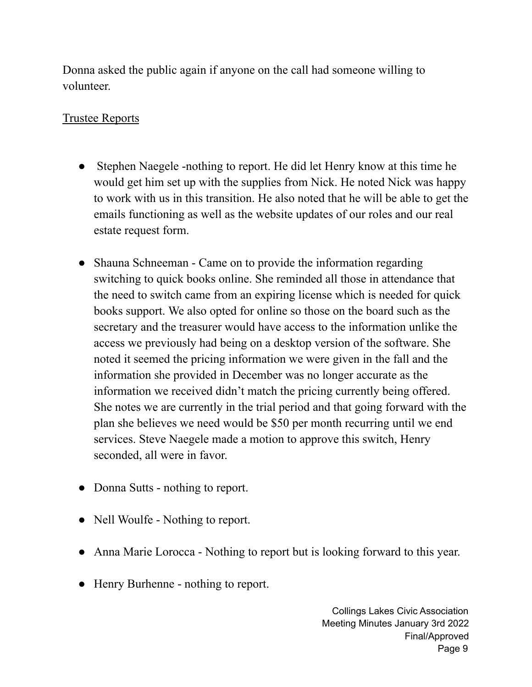Donna asked the public again if anyone on the call had someone willing to volunteer.

## Trustee Reports

- Stephen Naegele -nothing to report. He did let Henry know at this time he would get him set up with the supplies from Nick. He noted Nick was happy to work with us in this transition. He also noted that he will be able to get the emails functioning as well as the website updates of our roles and our real estate request form.
- Shauna Schneeman Came on to provide the information regarding switching to quick books online. She reminded all those in attendance that the need to switch came from an expiring license which is needed for quick books support. We also opted for online so those on the board such as the secretary and the treasurer would have access to the information unlike the access we previously had being on a desktop version of the software. She noted it seemed the pricing information we were given in the fall and the information she provided in December was no longer accurate as the information we received didn't match the pricing currently being offered. She notes we are currently in the trial period and that going forward with the plan she believes we need would be \$50 per month recurring until we end services. Steve Naegele made a motion to approve this switch, Henry seconded, all were in favor.
- Donna Sutts nothing to report.
- Nell Woulfe Nothing to report.
- Anna Marie Lorocca Nothing to report but is looking forward to this year.
- Henry Burhenne nothing to report.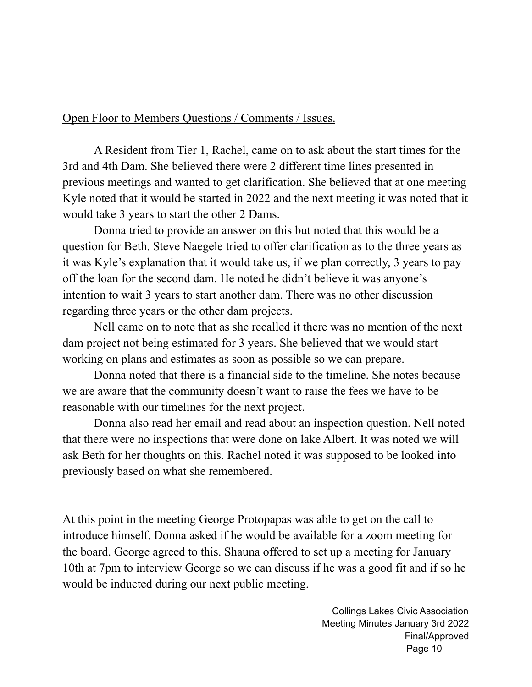#### Open Floor to Members Questions / Comments / Issues.

A Resident from Tier 1, Rachel, came on to ask about the start times for the 3rd and 4th Dam. She believed there were 2 different time lines presented in previous meetings and wanted to get clarification. She believed that at one meeting Kyle noted that it would be started in 2022 and the next meeting it was noted that it would take 3 years to start the other 2 Dams.

Donna tried to provide an answer on this but noted that this would be a question for Beth. Steve Naegele tried to offer clarification as to the three years as it was Kyle's explanation that it would take us, if we plan correctly, 3 years to pay off the loan for the second dam. He noted he didn't believe it was anyone's intention to wait 3 years to start another dam. There was no other discussion regarding three years or the other dam projects.

Nell came on to note that as she recalled it there was no mention of the next dam project not being estimated for 3 years. She believed that we would start working on plans and estimates as soon as possible so we can prepare.

Donna noted that there is a financial side to the timeline. She notes because we are aware that the community doesn't want to raise the fees we have to be reasonable with our timelines for the next project.

Donna also read her email and read about an inspection question. Nell noted that there were no inspections that were done on lake Albert. It was noted we will ask Beth for her thoughts on this. Rachel noted it was supposed to be looked into previously based on what she remembered.

At this point in the meeting George Protopapas was able to get on the call to introduce himself. Donna asked if he would be available for a zoom meeting for the board. George agreed to this. Shauna offered to set up a meeting for January 10th at 7pm to interview George so we can discuss if he was a good fit and if so he would be inducted during our next public meeting.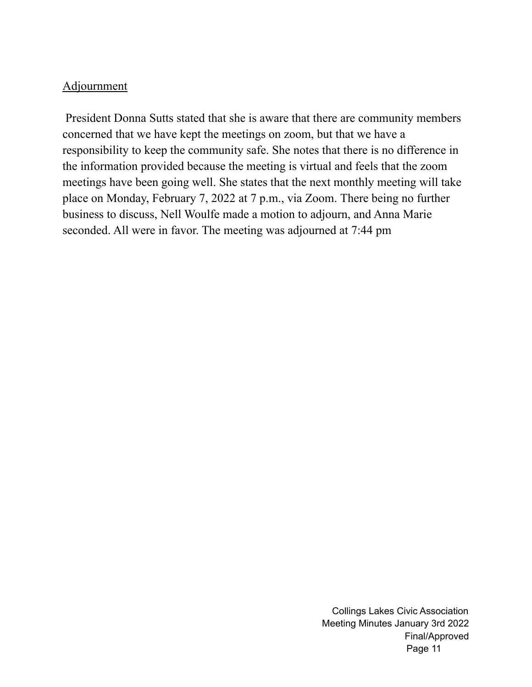### Adjournment

President Donna Sutts stated that she is aware that there are community members concerned that we have kept the meetings on zoom, but that we have a responsibility to keep the community safe. She notes that there is no difference in the information provided because the meeting is virtual and feels that the zoom meetings have been going well. She states that the next monthly meeting will take place on Monday, February 7, 2022 at 7 p.m., via Zoom. There being no further business to discuss, Nell Woulfe made a motion to adjourn, and Anna Marie seconded. All were in favor. The meeting was adjourned at 7:44 pm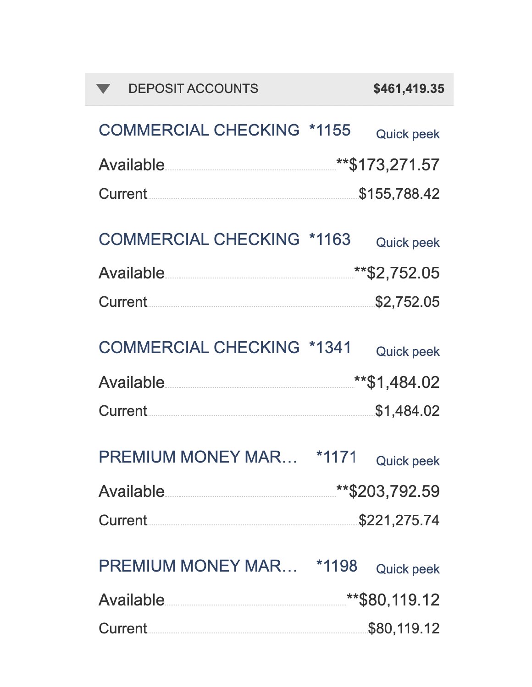| <b>DEPOSIT ACCOUNTS</b>                                              | \$461,419.35                                    |  |
|----------------------------------------------------------------------|-------------------------------------------------|--|
| <b>COMMERCIAL CHECKING *1155</b>                                     | <b>Quick peek</b>                               |  |
| <b>Available</b>                                                     | **\$173,271.57                                  |  |
| Current.                                                             | \$155,788.42                                    |  |
| <b>COMMERCIAL CHECKING *1163</b>                                     | <b>Quick peek</b>                               |  |
| <b>Available</b><br>다음 전 사람들은 아이들은 아이들은 아이들은 아이들은 아이들은 아이들이 있다.<br>- | **\$2,752.05                                    |  |
| Current.                                                             | \$2,752.05                                      |  |
| <b>COMMERCIAL CHECKING *1341</b><br>Available<br>Current.            | <b>Quick peek</b><br>**\$1,484.02<br>\$1,484.02 |  |
| <b>PREMIUM MONEY MAR</b>                                             | *1171<br><b>Quick peek</b>                      |  |
| <b>Available</b>                                                     | **\$203,792.59                                  |  |
| Current.                                                             | \$221,275.74                                    |  |
| PREMIUM MONEY MAR *1198<br><b>Available</b>                          | <b>Quick peek</b><br>**\$80,119.12              |  |
|                                                                      | \$80,119.12                                     |  |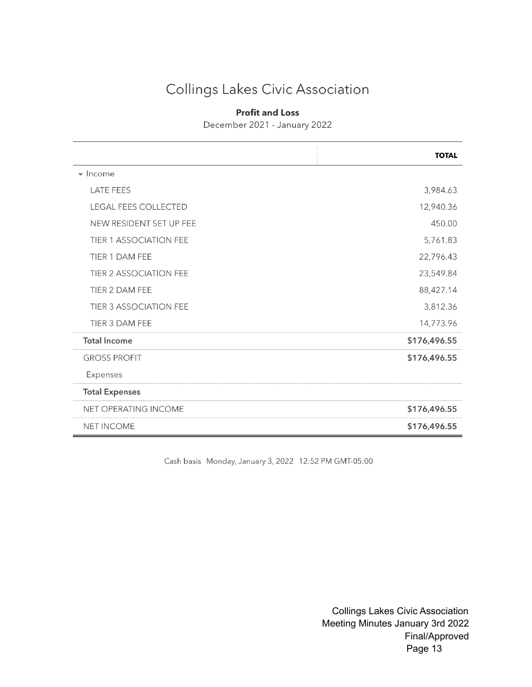# Collings Lakes Civic Association

#### **Profit and Loss**

December 2021 - January 2022

|                               | <b>TOTAL</b> |
|-------------------------------|--------------|
| $\blacktriangleright$ Income  |              |
| <b>LATE FEES</b>              | 3,984.63     |
| <b>LEGAL FEES COLLECTED</b>   | 12,940.36    |
| NEW RESIDENT SET UP FEE       | 450.00       |
| <b>TIER 1 ASSOCIATION FEE</b> | 5,761.83     |
| <b>TIER 1 DAM FEE</b>         | 22,796.43    |
| <b>TIER 2 ASSOCIATION FEE</b> | 23,549.84    |
| TIER 2 DAM FEE                | 88,427.14    |
| <b>TIER 3 ASSOCIATION FEE</b> | 3,812.36     |
| TIER 3 DAM FEE                | 14,773.96    |
| <b>Total Income</b>           | \$176,496.55 |
| <b>GROSS PROFIT</b>           | \$176,496.55 |
| Expenses                      |              |
| <b>Total Expenses</b>         |              |
| NET OPERATING INCOME          | \$176,496.55 |
| <b>NET INCOME</b>             | \$176,496.55 |

Cash basis Monday, January 3, 2022 12:52 PM GMT-05:00